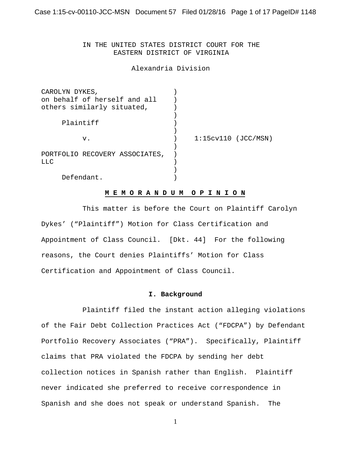IN THE UNITED STATES DISTRICT COURT FOR THE EASTERN DISTRICT OF VIRGINIA

Alexandria Division

| CAROLYN DYKES,                 |                       |  |
|--------------------------------|-----------------------|--|
| on behalf of herself and all   |                       |  |
| others similarly situated,     |                       |  |
|                                |                       |  |
| Plaintiff                      |                       |  |
|                                |                       |  |
| v.                             | $1:15cv110$ (JCC/MSN) |  |
|                                |                       |  |
| PORTFOLIO RECOVERY ASSOCIATES, |                       |  |
| <b>LLC</b>                     |                       |  |
|                                |                       |  |
| Defendant.                     |                       |  |

# **M E M O R A N D U M O P I N I O N**

 This matter is before the Court on Plaintiff Carolyn Dykes' ("Plaintiff") Motion for Class Certification and Appointment of Class Council. [Dkt. 44] For the following reasons, the Court denies Plaintiffs' Motion for Class Certification and Appointment of Class Council.

### **I. Background**

 Plaintiff filed the instant action alleging violations of the Fair Debt Collection Practices Act ("FDCPA") by Defendant Portfolio Recovery Associates ("PRA"). Specifically, Plaintiff claims that PRA violated the FDCPA by sending her debt collection notices in Spanish rather than English. Plaintiff never indicated she preferred to receive correspondence in Spanish and she does not speak or understand Spanish. The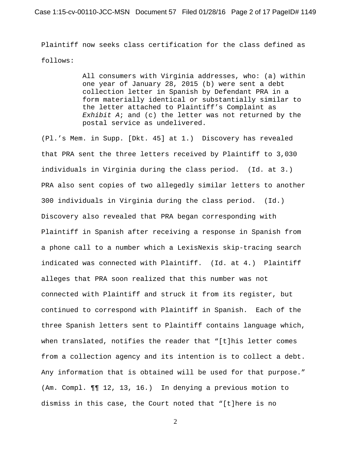Plaintiff now seeks class certification for the class defined as follows:

> All consumers with Virginia addresses, who: (a) within one year of January 28, 2015 (b) were sent a debt collection letter in Spanish by Defendant PRA in a form materially identical or substantially similar to the letter attached to Plaintiff's Complaint as *Exhibit A*; and (c) the letter was not returned by the postal service as undelivered.

(Pl.'s Mem. in Supp. [Dkt. 45] at 1.) Discovery has revealed that PRA sent the three letters received by Plaintiff to 3,030 individuals in Virginia during the class period. (Id. at 3.) PRA also sent copies of two allegedly similar letters to another 300 individuals in Virginia during the class period. (Id.) Discovery also revealed that PRA began corresponding with Plaintiff in Spanish after receiving a response in Spanish from a phone call to a number which a LexisNexis skip-tracing search indicated was connected with Plaintiff. (Id. at 4.) Plaintiff alleges that PRA soon realized that this number was not connected with Plaintiff and struck it from its register, but continued to correspond with Plaintiff in Spanish. Each of the three Spanish letters sent to Plaintiff contains language which, when translated, notifies the reader that "[t]his letter comes from a collection agency and its intention is to collect a debt. Any information that is obtained will be used for that purpose." (Am. Compl. ¶¶ 12, 13, 16.) In denying a previous motion to dismiss in this case, the Court noted that "[t]here is no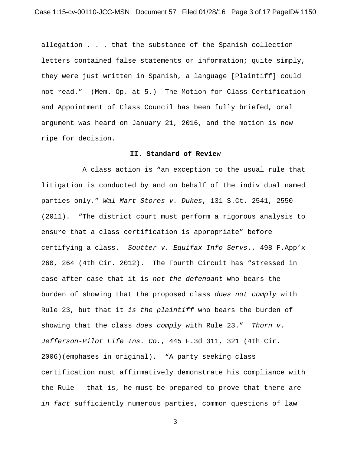allegation . . . that the substance of the Spanish collection letters contained false statements or information; quite simply, they were just written in Spanish, a language [Plaintiff] could not read." (Mem. Op. at 5.) The Motion for Class Certification and Appointment of Class Council has been fully briefed, oral argument was heard on January 21, 2016, and the motion is now ripe for decision.

#### **II. Standard of Review**

 A class action is "an exception to the usual rule that litigation is conducted by and on behalf of the individual named parties only." *Wal-Mart Stores v. Dukes*, 131 S.Ct. 2541, 2550 (2011). "The district court must perform a rigorous analysis to ensure that a class certification is appropriate" before certifying a class. *Soutter v. Equifax Info Servs.*, 498 F.App'x 260, 264 (4th Cir. 2012). The Fourth Circuit has "stressed in case after case that it is *not the defendant* who bears the burden of showing that the proposed class *does not comply* with Rule 23, but that it *is the plaintiff* who bears the burden of showing that the class *does comply* with Rule 23." *Thorn v. Jefferson-Pilot Life Ins. Co.*, 445 F.3d 311, 321 (4th Cir. 2006)(emphases in original). "A party seeking class certification must affirmatively demonstrate his compliance with the Rule – that is, he must be prepared to prove that there are *in fact* sufficiently numerous parties, common questions of law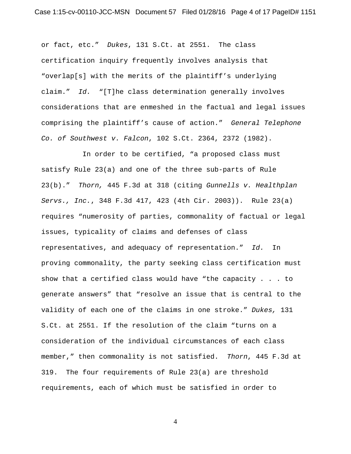or fact, etc." *Dukes*, 131 S.Ct. at 2551. The class certification inquiry frequently involves analysis that "overlap[s] with the merits of the plaintiff's underlying claim." *Id.* "[T]he class determination generally involves considerations that are enmeshed in the factual and legal issues comprising the plaintiff's cause of action." *General Telephone Co. of Southwest v. Falcon*, 102 S.Ct. 2364, 2372 (1982).

In order to be certified, "a proposed class must satisfy Rule 23(a) and one of the three sub-parts of Rule 23(b)." *Thorn,* 445 F.3d at 318 (citing *Gunnells v. Healthplan Servs., Inc.*, 348 F.3d 417, 423 (4th Cir. 2003)).Rule 23(a) requires "numerosity of parties, commonality of factual or legal issues, typicality of claims and defenses of class representatives, and adequacy of representation." *Id.* In proving commonality, the party seeking class certification must show that a certified class would have "the capacity . . . to generate answers" that "resolve an issue that is central to the validity of each one of the claims in one stroke." *Dukes,* 131 S.Ct. at 2551. If the resolution of the claim "turns on a consideration of the individual circumstances of each class member," then commonality is not satisfied. *Thorn*, 445 F.3d at 319. The four requirements of Rule 23(a) are threshold requirements, each of which must be satisfied in order to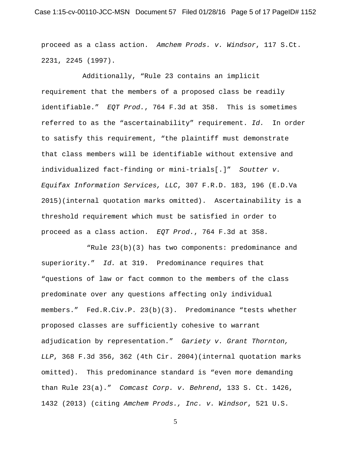proceed as a class action. *Amchem Prods. v. Windsor*, 117 S.Ct. 2231, 2245 (1997).

Additionally, "Rule 23 contains an implicit requirement that the members of a proposed class be readily identifiable." *EQT Prod.*, 764 F.3d at 358. This is sometimes referred to as the "ascertainability" requirement. *Id.* In order to satisfy this requirement, "the plaintiff must demonstrate that class members will be identifiable without extensive and individualized fact-finding or mini-trials[.]" *Soutter v. Equifax Information Services, LLC*, 307 F.R.D. 183, 196 (E.D.Va 2015)(internal quotation marks omitted).Ascertainability is a threshold requirement which must be satisfied in order to proceed as a class action. *EQT Prod.*, 764 F.3d at 358.

 "Rule 23(b)(3) has two components: predominance and superiority." *Id.* at 319. Predominance requires that "questions of law or fact common to the members of the class predominate over any questions affecting only individual members." Fed.R.Civ.P. 23(b)(3). Predominance "tests whether proposed classes are sufficiently cohesive to warrant adjudication by representation." *Gariety v. Grant Thornton, LLP*, 368 F.3d 356, 362 (4th Cir. 2004)(internal quotation marks omitted). This predominance standard is "even more demanding than Rule 23(a)." *Comcast Corp. v. Behrend*, 133 S. Ct. 1426, 1432 (2013) (citing *Amchem Prods., Inc. v. Windsor*, 521 U.S.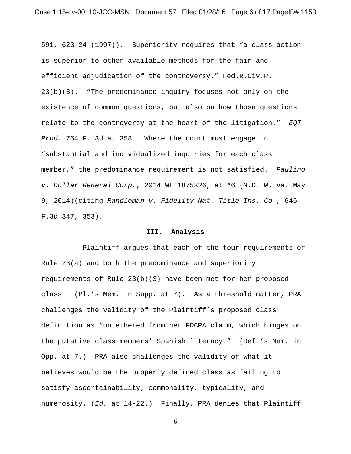591, 623-24 (1997)). Superiority requires that "a class action is superior to other available methods for the fair and efficient adjudication of the controversy." Fed.R.Civ.P. 23(b)(3). "The predominance inquiry focuses not only on the existence of common questions, but also on how those questions relate to the controversy at the heart of the litigation." *EQT Prod.* 764 F. 3d at 358. Where the court must engage in "substantial and individualized inquiries for each class member," the predominance requirement is not satisfied. *Paulino v. Dollar General Corp.*, 2014 WL 1875326, at \*6 (N.D. W. Va. May 9, 2014)(citing *Randleman v. Fidelity Nat. Title Ins. Co.*, 646 F.3d 347, 353).

#### **III. Analysis**

Plaintiff argues that each of the four requirements of Rule 23(a) and both the predominance and superiority requirements of Rule 23(b)(3) have been met for her proposed class. (Pl.'s Mem. in Supp. at 7). As a threshold matter, PRA challenges the validity of the Plaintiff's proposed class definition as "untethered from her FDCPA claim, which hinges on the putative class members' Spanish literacy." (Def.'s Mem. in Opp. at 7.) PRA also challenges the validity of what it believes would be the properly defined class as failing to satisfy ascertainability, commonality, typicality, and numerosity. (*Id.* at 14-22.) Finally, PRA denies that Plaintiff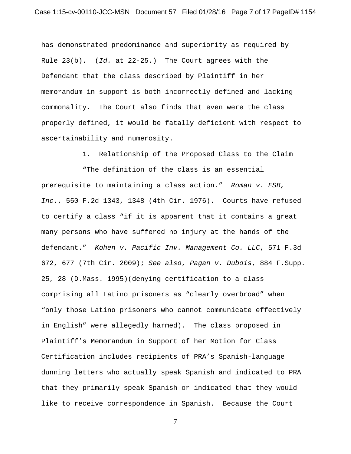has demonstrated predominance and superiority as required by Rule 23(b). (*Id.* at 22-25.) The Court agrees with the Defendant that the class described by Plaintiff in her memorandum in support is both incorrectly defined and lacking commonality. The Court also finds that even were the class properly defined, it would be fatally deficient with respect to ascertainability and numerosity.

### 1. Relationship of the Proposed Class to the Claim

"The definition of the class is an essential prerequisite to maintaining a class action." *Roman v. ESB, Inc.*, 550 F.2d 1343, 1348 (4th Cir. 1976).Courts have refused to certify a class "if it is apparent that it contains a great many persons who have suffered no injury at the hands of the defendant." *Kohen v. Pacific Inv. Management Co. LLC*, 571 F.3d 672, 677 (7th Cir. 2009); *See also*, *Pagan v. Dubois*, 884 F.Supp. 25, 28 (D.Mass. 1995)(denying certification to a class comprising all Latino prisoners as "clearly overbroad" when "only those Latino prisoners who cannot communicate effectively in English" were allegedly harmed). The class proposed in Plaintiff's Memorandum in Support of her Motion for Class Certification includes recipients of PRA's Spanish-language dunning letters who actually speak Spanish and indicated to PRA that they primarily speak Spanish or indicated that they would like to receive correspondence in Spanish. Because the Court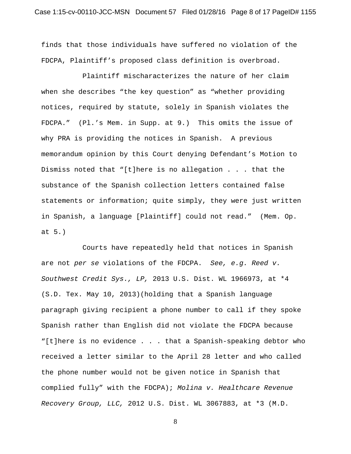finds that those individuals have suffered no violation of the FDCPA, Plaintiff's proposed class definition is overbroad.

Plaintiff mischaracterizes the nature of her claim when she describes "the key question" as "whether providing notices, required by statute, solely in Spanish violates the FDCPA." (Pl.'s Mem. in Supp. at 9.) This omits the issue of why PRA is providing the notices in Spanish. A previous memorandum opinion by this Court denying Defendant's Motion to Dismiss noted that "[t]here is no allegation . . . that the substance of the Spanish collection letters contained false statements or information; quite simply, they were just written in Spanish, a language [Plaintiff] could not read." (Mem. Op. at 5.)

Courts have repeatedly held that notices in Spanish are not *per se* violations of the FDCPA. *See, e.g. Reed v. Southwest Credit Sys., LP,* 2013 U.S. Dist. WL 1966973, at \*4 (S.D. Tex. May 10, 2013)(holding that a Spanish language paragraph giving recipient a phone number to call if they spoke Spanish rather than English did not violate the FDCPA because "[t]here is no evidence . . . that a Spanish-speaking debtor who received a letter similar to the April 28 letter and who called the phone number would not be given notice in Spanish that complied fully" with the FDCPA); *Molina v. Healthcare Revenue Recovery Group, LLC,* 2012 U.S. Dist. WL 3067883, at \*3 (M.D.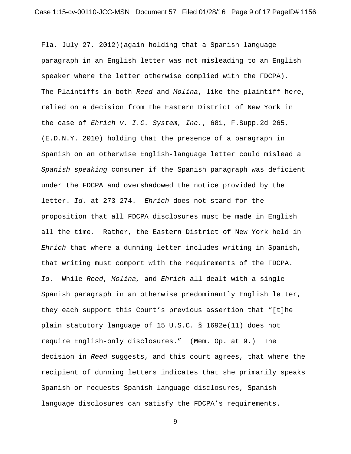Fla. July 27, 2012)(again holding that a Spanish language paragraph in an English letter was not misleading to an English speaker where the letter otherwise complied with the FDCPA). The Plaintiffs in both *Reed* and *Molina*, like the plaintiff here, relied on a decision from the Eastern District of New York in the case of *Ehrich v. I.C. System, Inc.*, 681, F.Supp.2d 265, (E.D.N.Y. 2010) holding that the presence of a paragraph in Spanish on an otherwise English-language letter could mislead a *Spanish speaking* consumer if the Spanish paragraph was deficient under the FDCPA and overshadowed the notice provided by the letter. *Id.* at 273-274. *Ehrich* does not stand for the proposition that all FDCPA disclosures must be made in English all the time. Rather, the Eastern District of New York held in *Ehrich* that where a dunning letter includes writing in Spanish, that writing must comport with the requirements of the FDCPA. *Id.* While *Reed*, *Molina,* and *Ehrich* all dealt with a single Spanish paragraph in an otherwise predominantly English letter, they each support this Court's previous assertion that "[t]he plain statutory language of 15 U.S.C. § 1692e(11) does not require English-only disclosures." (Mem. Op. at 9.) The decision in *Reed* suggests, and this court agrees, that where the recipient of dunning letters indicates that she primarily speaks Spanish or requests Spanish language disclosures, Spanishlanguage disclosures can satisfy the FDCPA's requirements.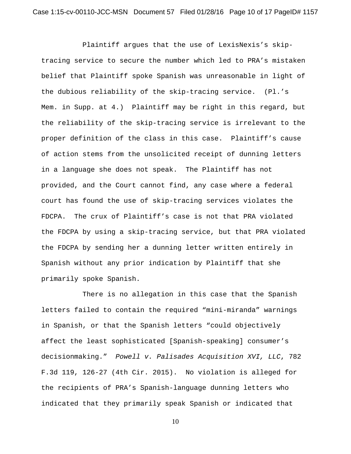Plaintiff argues that the use of LexisNexis's skiptracing service to secure the number which led to PRA's mistaken belief that Plaintiff spoke Spanish was unreasonable in light of the dubious reliability of the skip-tracing service. (Pl.'s Mem. in Supp. at 4.) Plaintiff may be right in this regard, but the reliability of the skip-tracing service is irrelevant to the proper definition of the class in this case. Plaintiff's cause of action stems from the unsolicited receipt of dunning letters in a language she does not speak. The Plaintiff has not provided, and the Court cannot find, any case where a federal court has found the use of skip-tracing services violates the FDCPA. The crux of Plaintiff's case is not that PRA violated the FDCPA by using a skip-tracing service, but that PRA violated the FDCPA by sending her a dunning letter written entirely in Spanish without any prior indication by Plaintiff that she primarily spoke Spanish.

There is no allegation in this case that the Spanish letters failed to contain the required "mini-miranda" warnings in Spanish, or that the Spanish letters "could objectively affect the least sophisticated [Spanish-speaking] consumer's decisionmaking." *Powell v. Palisades Acquisition XVI, LLC*, 782 F.3d 119, 126-27 (4th Cir. 2015). No violation is alleged for the recipients of PRA's Spanish-language dunning letters who indicated that they primarily speak Spanish or indicated that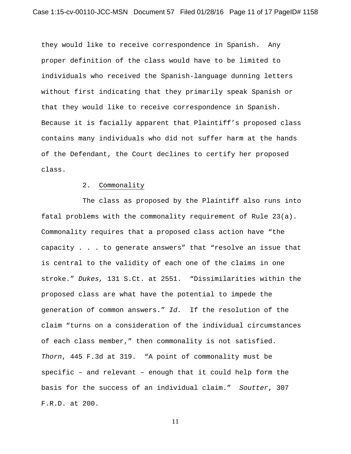they would like to receive correspondence in Spanish. Any proper definition of the class would have to be limited to individuals who received the Spanish-language dunning letters without first indicating that they primarily speak Spanish or that they would like to receive correspondence in Spanish. Because it is facially apparent that Plaintiff's proposed class contains many individuals who did not suffer harm at the hands of the Defendant, the Court declines to certify her proposed class.

#### 2. Commonality

The class as proposed by the Plaintiff also runs into fatal problems with the commonality requirement of Rule 23(a). Commonality requires that a proposed class action have "the capacity . . . to generate answers" that "resolve an issue that is central to the validity of each one of the claims in one stroke." *Dukes,* 131 S.Ct. at 2551. "Dissimilarities within the proposed class are what have the potential to impede the generation of common answers." *Id.* If the resolution of the claim "turns on a consideration of the individual circumstances of each class member," then commonality is not satisfied. *Thorn*, 445 F.3d at 319. "A point of commonality must be specific – and relevant – enough that it could help form the basis for the success of an individual claim." *Soutter*, 307 F.R.D. at 200.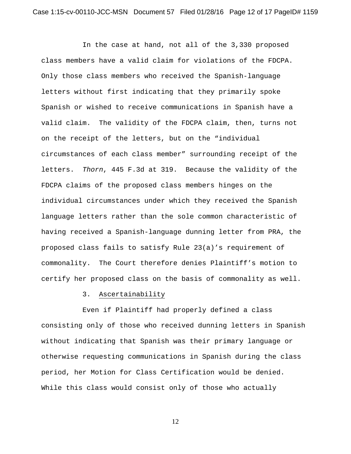In the case at hand, not all of the 3,330 proposed class members have a valid claim for violations of the FDCPA. Only those class members who received the Spanish-language letters without first indicating that they primarily spoke Spanish or wished to receive communications in Spanish have a valid claim. The validity of the FDCPA claim, then, turns not on the receipt of the letters, but on the "individual circumstances of each class member" surrounding receipt of the letters. *Thorn*, 445 F.3d at 319. Because the validity of the FDCPA claims of the proposed class members hinges on the individual circumstances under which they received the Spanish language letters rather than the sole common characteristic of having received a Spanish-language dunning letter from PRA, the proposed class fails to satisfy Rule 23(a)'s requirement of commonality. The Court therefore denies Plaintiff's motion to certify her proposed class on the basis of commonality as well.

## 3. Ascertainability

Even if Plaintiff had properly defined a class consisting only of those who received dunning letters in Spanish without indicating that Spanish was their primary language or otherwise requesting communications in Spanish during the class period, her Motion for Class Certification would be denied. While this class would consist only of those who actually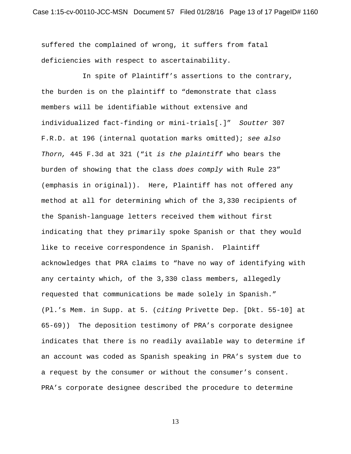suffered the complained of wrong, it suffers from fatal deficiencies with respect to ascertainability.

In spite of Plaintiff's assertions to the contrary, the burden is on the plaintiff to "demonstrate that class members will be identifiable without extensive and individualized fact-finding or mini-trials[.]" *Soutter* 307 F.R.D. at 196 (internal quotation marks omitted); *see also Thorn,* 445 F.3d at 321 ("it *is the plaintiff* who bears the burden of showing that the class *does comply* with Rule 23" (emphasis in original)). Here, Plaintiff has not offered any method at all for determining which of the 3,330 recipients of the Spanish-language letters received them without first indicating that they primarily spoke Spanish or that they would like to receive correspondence in Spanish. Plaintiff acknowledges that PRA claims to "have no way of identifying with any certainty which, of the 3,330 class members, allegedly requested that communications be made solely in Spanish." (Pl.'s Mem. in Supp. at 5. (*citing* Privette Dep. [Dkt. 55-10] at 65-69)) The deposition testimony of PRA's corporate designee indicates that there is no readily available way to determine if an account was coded as Spanish speaking in PRA's system due to a request by the consumer or without the consumer's consent. PRA's corporate designee described the procedure to determine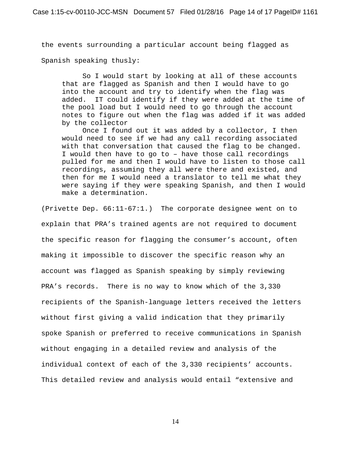the events surrounding a particular account being flagged as

Spanish speaking thusly:

So I would start by looking at all of these accounts that are flagged as Spanish and then I would have to go into the account and try to identify when the flag was added. IT could identify if they were added at the time of the pool load but I would need to go through the account notes to figure out when the flag was added if it was added by the collector

Once I found out it was added by a collector, I then would need to see if we had any call recording associated with that conversation that caused the flag to be changed. I would then have to go to – have those call recordings pulled for me and then I would have to listen to those call recordings, assuming they all were there and existed, and then for me I would need a translator to tell me what they were saying if they were speaking Spanish, and then I would make a determination.

(Privette Dep. 66:11-67:1.) The corporate designee went on to explain that PRA's trained agents are not required to document the specific reason for flagging the consumer's account, often making it impossible to discover the specific reason why an account was flagged as Spanish speaking by simply reviewing PRA's records. There is no way to know which of the 3,330 recipients of the Spanish-language letters received the letters without first giving a valid indication that they primarily spoke Spanish or preferred to receive communications in Spanish without engaging in a detailed review and analysis of the individual context of each of the 3,330 recipients' accounts. This detailed review and analysis would entail "extensive and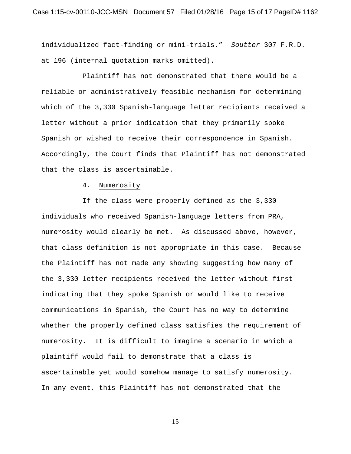individualized fact-finding or mini-trials." *Soutter* 307 F.R.D. at 196 (internal quotation marks omitted).

Plaintiff has not demonstrated that there would be a reliable or administratively feasible mechanism for determining which of the 3,330 Spanish-language letter recipients received a letter without a prior indication that they primarily spoke Spanish or wished to receive their correspondence in Spanish. Accordingly, the Court finds that Plaintiff has not demonstrated that the class is ascertainable.

4. Numerosity

If the class were properly defined as the 3,330 individuals who received Spanish-language letters from PRA, numerosity would clearly be met. As discussed above, however, that class definition is not appropriate in this case. Because the Plaintiff has not made any showing suggesting how many of the 3,330 letter recipients received the letter without first indicating that they spoke Spanish or would like to receive communications in Spanish, the Court has no way to determine whether the properly defined class satisfies the requirement of numerosity. It is difficult to imagine a scenario in which a plaintiff would fail to demonstrate that a class is ascertainable yet would somehow manage to satisfy numerosity. In any event, this Plaintiff has not demonstrated that the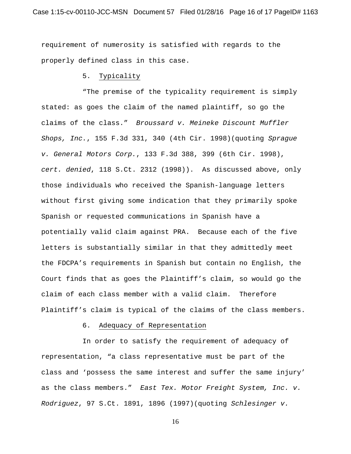requirement of numerosity is satisfied with regards to the properly defined class in this case.

## 5. Typicality

"The premise of the typicality requirement is simply stated: as goes the claim of the named plaintiff, so go the claims of the class." *Broussard v. Meineke Discount Muffler Shops, Inc.*, 155 F.3d 331, 340 (4th Cir. 1998)(quoting *Sprague v. General Motors Corp.*, 133 F.3d 388, 399 (6th Cir. 1998), *cert. denied*, 118 S.Ct. 2312 (1998)). As discussed above, only those individuals who received the Spanish-language letters without first giving some indication that they primarily spoke Spanish or requested communications in Spanish have a potentially valid claim against PRA. Because each of the five letters is substantially similar in that they admittedly meet the FDCPA's requirements in Spanish but contain no English, the Court finds that as goes the Plaintiff's claim, so would go the claim of each class member with a valid claim. Therefore Plaintiff's claim is typical of the claims of the class members.

### 6. Adequacy of Representation

In order to satisfy the requirement of adequacy of representation, "a class representative must be part of the class and 'possess the same interest and suffer the same injury' as the class members." *East Tex. Motor Freight System, Inc. v. Rodriguez*, 97 S.Ct. 1891, 1896 (1997)(quoting *Schlesinger v.*